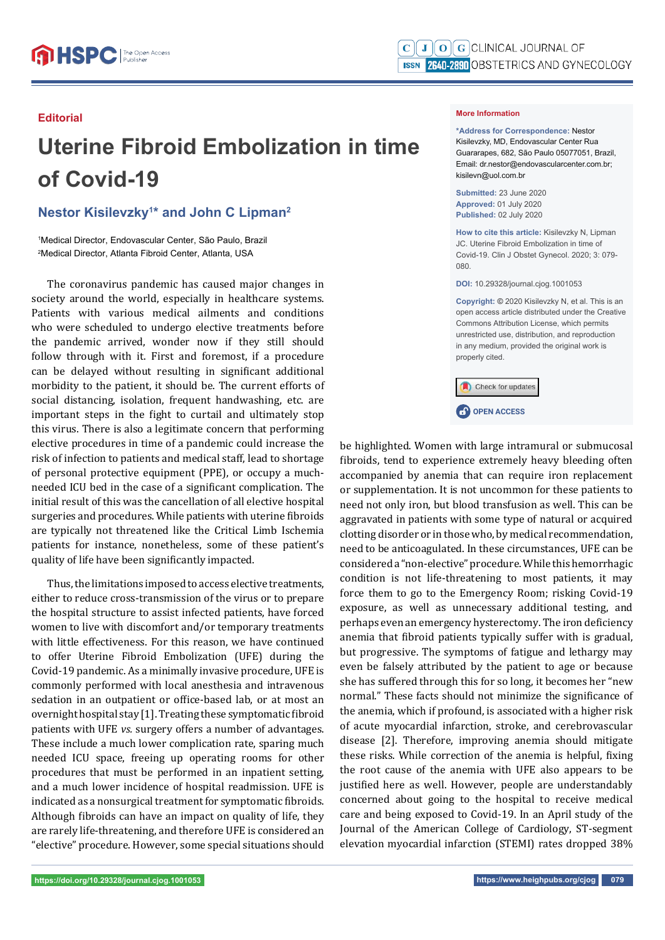#### **Editorial**

# **Uterine Fibroid Embolization in time of Covid-19**

## **Nestor Kisilevzky1 \* and John C Lipman2**

1 Medical Director, Endovascular Center, São Paulo, Brazil 2 Medical Director, Atlanta Fibroid Center, Atlanta, USA

The coronavirus pandemic has caused major changes in society around the world, especially in healthcare systems. Patients with various medical ailments and conditions who were scheduled to undergo elective treatments before the pandemic arrived, wonder now if they still should follow through with it. First and foremost, if a procedure can be delayed without resulting in significant additional morbidity to the patient, it should be. The current efforts of social distancing, isolation, frequent handwashing, etc. are important steps in the fight to curtail and ultimately stop this virus. There is also a legitimate concern that performing elective procedures in time of a pandemic could increase the risk of infection to patients and medical staff, lead to shortage of personal protective equipment (PPE), or occupy a muchneeded ICU bed in the case of a significant complication. The initial result of this was the cancellation of all elective hospital surgeries and procedures. While patients with uterine fibroids are typically not threatened like the Critical Limb Ischemia patients for instance, nonetheless, some of these patient's quality of life have been significantly impacted.

Thus, the limitations imposed to access elective treatments, either to reduce cross-transmission of the virus or to prepare the hospital structure to assist infected patients, have forced women to live with discomfort and/or temporary treatments with little effectiveness. For this reason, we have continued to offer Uterine Fibroid Embolization (UFE) during the Covid-19 pandemic. As a minimally invasive procedure, UFE is commonly performed with local anesthesia and intravenous sedation in an outpatient or office-based lab, or at most an overnight hospital stay [1]. Treating these symptomatic fibroid patients with UFE *vs.* surgery offers a number of advantages. These include a much lower complication rate, sparing much needed ICU space, freeing up operating rooms for other procedures that must be performed in an inpatient setting, and a much lower incidence of hospital readmission. UFE is indicated as a nonsurgical treatment for symptomatic fibroids. Although fibroids can have an impact on quality of life, they are rarely life-threatening, and therefore UFE is considered an "elective" procedure. However, some special situations should

#### **More Information**

**\*Address for Correspondence:** Nestor Kisilevzky, MD, Endovascular Center Rua Guararapes, 682, São Paulo 05077051, Brazil, Email: dr.nestor@endovascularcenter.com.br; kisilevn@uol.com.br

**Submitted:** 23 June 2020 **Approved:** 01 July 2020 **Published:** 02 July 2020

**How to cite this article:** Kisilevzky N, Lipman JC. Uterine Fibroid Embolization in time of Covid-19. Clin J Obstet Gynecol. 2020; 3: 079- 080.

**DOI:** 10.29328/journal.cjog.1001053

**Copyright: ©** 2020 Kisilevzky N, et al. This is an open access article distributed under the Creative Commons Attribution License, which permits unrestricted use, distribution, and reproduction in any medium, provided the original work is properly cited.

Check for updates

**C**OPEN ACCESS

be highlighted. Women with large intramural or submucosal fibroids, tend to experience extremely heavy bleeding often accompanied by anemia that can require iron replacement or supplementation. It is not uncommon for these patients to need not only iron, but blood transfusion as well. This can be aggravated in patients with some type of natural or acquired clotting disorder or in those who, by medical recommendation, need to be anticoagulated. In these circumstances, UFE can be considered a "non-elective" procedure. While this hemorrhagic condition is not life-threatening to most patients, it may force them to go to the Emergency Room; risking Covid-19 exposure, as well as unnecessary additional testing, and perhaps even an emergency hysterectomy. The iron deficiency anemia that fibroid patients typically suffer with is gradual, but progressive. The symptoms of fatigue and lethargy may even be falsely attributed by the patient to age or because she has suffered through this for so long, it becomes her "new normal." These facts should not minimize the significance of the anemia, which if profound, is associated with a higher risk of acute myocardial infarction, stroke, and cerebrovascular disease [2]. Therefore, improving anemia should mitigate these risks. While correction of the anemia is helpful, fixing the root cause of the anemia with UFE also appears to be justified here as well. However, people are understandably concerned about going to the hospital to receive medical care and being exposed to Covid-19. In an April study of the Journal of the American College of Cardiology, ST-segment elevation myocardial infarction (STEMI) rates dropped 38%